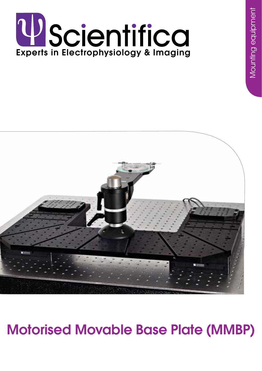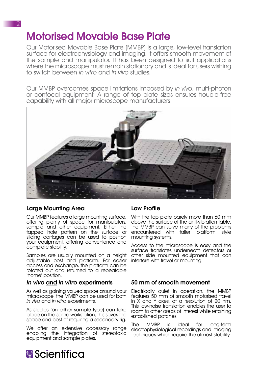### Motorised Movable Base Plate

Our Motorised Movable Base Plate (MMBP) is a large, low-level translation surface for electrophysiology and imaging. It offers smooth movement of the sample and manipulator. It has been designed to suit applications where the microscope must remain stationary and is ideal for users wishing to switch between in vitro and in vivo studies.

Our MMBP overcomes space limitations imposed by in vivo, multi-photon or confocal equipment. A range of top plate sizes ensures trouble-free capability with all major microscope manufacturers.



#### Large Mounting Area

Our MMBP features a large mounting surface, offering plenty of space for manipulators, sample and other equipment. Either the tapped hole pattern on the surface or sliding carriages can be used to position your equipment, offering convenience and complete stability.

Samples are usually mounted on a height adjustable post and platform. For easier access and exchange, the platform can be rotated out and returned to a repeatable 'home' position.

#### In vivo and in vitro experiments

As well as gaining valued space around your microscope, the MMBP can be used for both in vivo and in vitro experiments.

As studies (on either sample type) can take place on the same workstation, this saves the space and cost of requiring a secondary rig.

We offer an extensive accessory range enabling the integration of stereotaxic equipment and sample plates.

### Low Profile

With the top plate barely more than 60 mm above the surface of the anti-vibration table, the MMBP can solve many of the problems encountered with taller 'platform' style mounting systems.

Access to the microscope is easy and the surface translates underneath detectors or other side mounted equipment that can interfere with travel or mounting.

#### 50 mm of smooth movement

Electrically quiet in operation, the MMBP features 50 mm of smooth motorised travel in X and Y axes, at a resolution of 20 nm. This low-noise translation enables the user to roam to other areas of interest while retaining established patches.

The MMBP is ideal for long-term electrophysiological recordings and imaging techniques which require the utmost stability.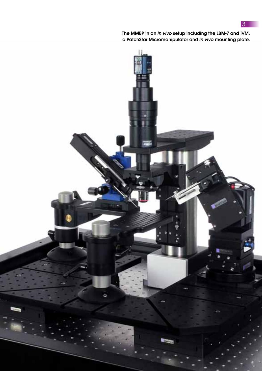The MMBP in an in vivo setup including the LBM-7 and IVM, a PatchStar Micromanipulator and in vivo mounting plate.

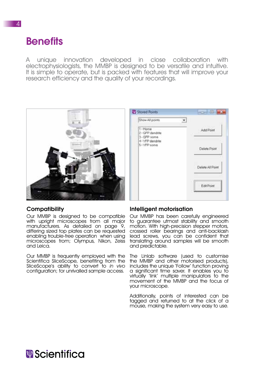### **Benefits**

A unique innovation developed in close collaboration with electrophysiologists, the MMBP is designed to be versatile and intuitive. It is simple to operate, but is packed with features that will improve your research efficiency and the quality of your recordings.





#### **Compatibility**

Our MMBP is designed to be compatible with upright microscopes from all major manufacturers. As detailed on page 9, differing sized top plates can be requested enabling trouble-free operation when using microscopes from; Olympus, Nikon, Zeiss and Leica.

Our MMBP is frequently employed with the Scientifica SliceScope, benefiting from the SliceScope's ability to convert to in vivo configuration; for unrivalled sample access.

#### Intelligent motorisation

Our MMBP has been carefully engineered to guarantee utmost stability and smooth motion. With high-precision stepper motors, crossed roller bearings and anti-backlash lead screws, you can be confident that translating around samples will be smooth and predictable.

The Linlab software (used to customise the MMBP and other motorised products), includes the unique 'Follow' function proving a significant time saver. It enables you to virtually 'link' multiple manipulators to the movement of the MMBP and the focus of your microscope.

Additionally, points of interested can be tagged and returned to at the click of a mouse, making the system very easy to use.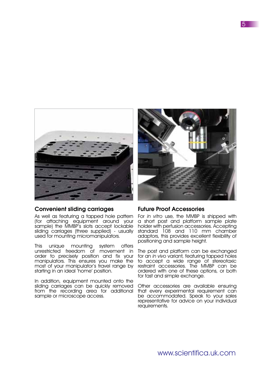

#### Convenient sliding carriages

As well as featuring a tapped hole pattern (for attaching equipment around your sample) the MMBP's slots accept lockable sliding carriages (three supplied) - usually used for mounting micromanipulators.

This unique mounting system offers unrestricted freedom of movement in order to precisely position and fix your manipulators. This ensures you make the most of your manipulator's travel range by starting in an ideal 'home' position.

In addition, equipment mounted onto the sliding carriages can be quickly removed from the recording area for additional sample or microscope access.



#### Future Proof Accessories

For in vitro use, the MMBP is shipped with a short post and platform sample plate holder with perfusion accessories. Accepting standard 108 and 110 mm chamber adaptors, this provides excellent flexibility of positioning and sample height.

The post and platform can be exchanged for an in vivo variant, featuring tapped holes to accept a wide range of stereotaxic restraint accessories. The MMBP can be ordered with one of these options, or both for fast and simple exchange.

Other accessories are available ensuring that every experimental requirement can be accommodated. Speak to your sales representative for advice on your individual requirements.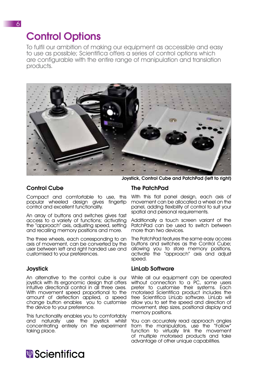### Control Options

To fulfil our ambition of making our equipment as accessible and easy to use as possible; Scientifica offers a series of control options which are configurable with the entire range of manipulation and translation products.



Joystick, Control Cube and PatchPad (left to right)

### Control Cube

Compact and comfortable to use, this popular wheeled design gives fingertip control and excellent functionality.

An array of buttons and switches gives fast access to a variety of functions; activating the "approach" axis, adjusting speed, setting and recalling memory positions and more.

The three wheels, each corresponding to an axis of movement, can be converted by the user between left and right handed use and customised to your preferences.

#### **Joystick**

An alternative to the control cube is our joystick with its ergonomic design that offers intuitive directional control in all three axes. With movement speed proportional to the amount of deflection applied, a speed change button enables you to customise the device to your preference.

This functionality enables you to comfortably and naturally use the joystick whilst concentrating entirely on the experiment taking place.

#### The PatchPad

With this flat panel design, each axis of movement can be allocated a wheel on the panel, adding flexibility of control to suit your spatial and personal requirements.

Additionally a touch screen variant of the PatchPad can be used to switch between more than two devices.

The PatchPad features the same easy access buttons and switches as the Control Cube; allowing you to store memory positions, activate the "approach" axis and adjust speed.

#### LinLab Software

While all our equipment can be operated without connection to a PC, some users prefer to customise their systems. Each motorised Scientifica product includes the free Scientifica LinLab software. LinLab will allow you to set the speed and direction of movement, step sizes, positional display and memory positions.

You can accurately read approach angles from the manipulators, use the "Follow" function to virtually link the movement of multiple motorised products and take advantage of other unique capabilities.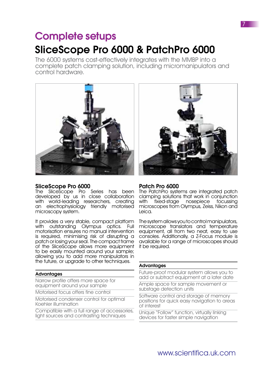### SliceScope Pro 6000 & PatchPro 6000 Complete setups

The 6000 systems cost-effectively integrates with the MMBP into a complete patch clamping solution, including micromanipulators and control hardware.



#### SliceScope Pro 6000

The SliceScope Pro Series has been developed by us in close collaboration with world-leading researchers, creating an electrophysiology friendly motorised microscopy system.

It provides a very stable, compact platform with outstanding Olympus optics. Full motorisation ensures no manual intervention is required, minimising risk of disrupting a patch or losing your seal. The compact frame of the SliceScope allows more equipment to be easily mounted around your sample; allowing you to add more manipulators in the future, or upgrade to other techniques.

#### Advantages

Narrow profile offers more space for equipment around your sample

Motorised focus offers fine control

Motorised condenser control for optimal Koehler illumination

Compatible with a full range of accessories, light sources and contrasting techniques



#### Patch Pro 6000

The PatchPro systems are integrated patch clamping solutions that work in conjunction with fixed-stage nosepiece focussing microscopes from Olympus, Zeiss, Nikon and Leica.

The system allows you to control manipulators, microscope translators and temperature equipment, all from two neat, easy to use consoles. Additionally, a Z-Focus module is available for a range of microscopes should it be required.

#### Advantages

Future-proof modular system allows you to add or subtract equipment at a later date

Ample space for sample movement or substage detection units

Software control and storage of memory positions for quick easy navigation to areas of interest

Unique "Follow" function, virtually linking devices for faster simple navigation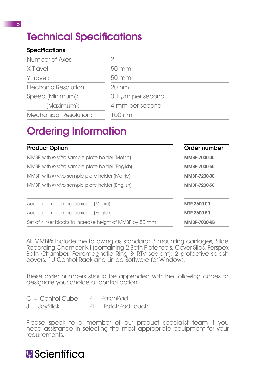### Technical Specifications

| <b>Specifications</b>         |                        |
|-------------------------------|------------------------|
| Number of Axes                |                        |
| X Travel:                     | $50 \, \mathrm{mm}$    |
| Y Travel:                     | $50 \text{ mm}$        |
| Flectronic Resolution:        | $20 \text{ nm}$        |
| Speed (Minimum):              | 0.1 $\mu$ m per second |
| (Maximum):                    | 4 mm per second        |
| <b>Mechanical Resolution:</b> | 100 nm                 |
|                               |                        |

### Ordering Information

| <b>Product Option</b>                                     | Order number        |
|-----------------------------------------------------------|---------------------|
| MMBP, with in vitro sample plate holder (Metric)          | MMBP-7000-00        |
| MMBP, with in vitro sample plate holder (English)         | MMBP-7000-50        |
| MMBP, with in vivo sample plate holder (Metric)           | MMBP-7200-00        |
| MMBP, with in vivo sample plate holder (English)          | MMBP-7200-50        |
| Additional mounting carriage (Metric)                     | MTP-3600-00         |
| Additional mounting carriage (English)                    | MTP-3600-50         |
| Set of 4 riser blocks to increase height of MMBP by 50 mm | <b>MMBP-7000-RB</b> |

All MMBPs include the following as standard: 3 mounting carriages, Slice Recording Chamber Kit (containing 2 Bath Plate tools, Cover Slips, Perspex Bath Chamber, Ferromagnetic Ring & RTV sealant), 2 protective splash covers, 1U Control Rack and Linlab Software for Windows.

These order numbers should be appended with the following codes to designate your choice of control option:

| $C =$ Control Cube | $P =$ PatchPad        |
|--------------------|-----------------------|
| $J = JoyStick$     | $PT =$ PatchPad Touch |

Please speak to a member of our product specialist team if you need assistance in selecting the most appropriate equipment for your requirements.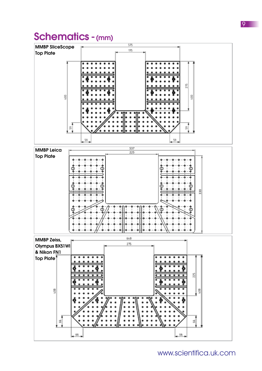### Schematics - (mm)



www.scientifica.uk.com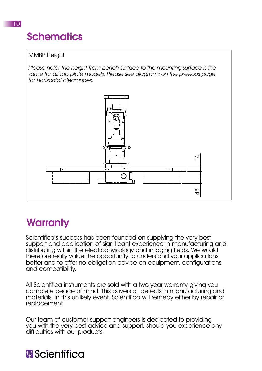### **Schematics**

### MMBP height

Please note: the height from bench surface to the mounting surface is the same for all top plate models. Please see diagrams on the previous page for horizontal clearances.



### **Warranty**

Scientifica's success has been founded on supplying the very best support and application of significant experience in manufacturing and distributing within the electrophysiology and imaging fields. We would therefore really value the opportunity to understand your applications better and to offer no obligation advice on equipment, configurations and compatibility.

All Scientifica instruments are sold with a two year warranty giving you complete peace of mind. This covers all defects in manufacturing and materials. In this unlikely event, Scientifica will remedy either by repair or replacement.

Our team of customer support engineers is dedicated to providing you with the very best advice and support, should you experience any difficulties with our products.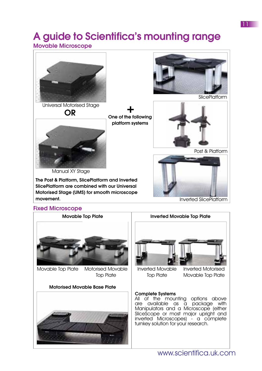## A guide to Scientifica's mounting range

### Movable Microscope



Universal Motorised Stage<br> **OR** 

One of the following platform systems



**SlicePlatform** 





SlicePlatform are combined with our Universal Motorised Stage (UMS) for smooth microscope

Manual XY Stage

movement.

The Post & Platform, SlicePlatform and Inverted

Inverted SlicePlatform

### Fixed Microscope Movable Top Plate Movable Top Plate Motorised Movable Top Plate Inverted Movable Top Plate Inverted Movable Top Plate Inverted Motorised Movable Top Plate Motorised Movable Base Plate Complete Systems All of the mounting options above are available as a package with Manipulators and a Microscope (either SliceScope or most major upright and inverted Microscopes) - a complete turnkey solution for your research.